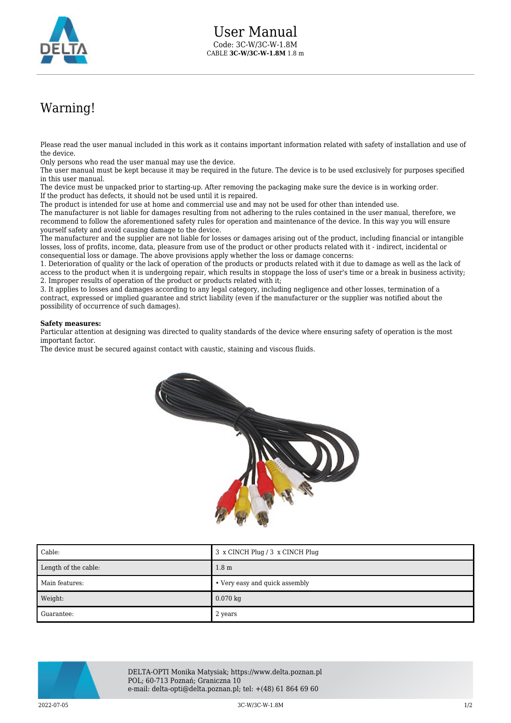

## Warning!

Please read the user manual included in this work as it contains important information related with safety of installation and use of the device.

Only persons who read the user manual may use the device.

The user manual must be kept because it may be required in the future. The device is to be used exclusively for purposes specified in this user manual.

The device must be unpacked prior to starting-up. After removing the packaging make sure the device is in working order. If the product has defects, it should not be used until it is repaired.

The product is intended for use at home and commercial use and may not be used for other than intended use.

The manufacturer is not liable for damages resulting from not adhering to the rules contained in the user manual, therefore, we recommend to follow the aforementioned safety rules for operation and maintenance of the device. In this way you will ensure yourself safety and avoid causing damage to the device.

The manufacturer and the supplier are not liable for losses or damages arising out of the product, including financial or intangible losses, loss of profits, income, data, pleasure from use of the product or other products related with it - indirect, incidental or consequential loss or damage. The above provisions apply whether the loss or damage concerns:

1. Deterioration of quality or the lack of operation of the products or products related with it due to damage as well as the lack of access to the product when it is undergoing repair, which results in stoppage the loss of user's time or a break in business activity; 2. Improper results of operation of the product or products related with it;

3. It applies to losses and damages according to any legal category, including negligence and other losses, termination of a contract, expressed or implied guarantee and strict liability (even if the manufacturer or the supplier was notified about the possibility of occurrence of such damages).

## **Safety measures:**

Particular attention at designing was directed to quality standards of the device where ensuring safety of operation is the most important factor.

The device must be secured against contact with caustic, staining and viscous fluids.



| $\mathsf{\mathsf{I}}$ Cable: | 3 x CINCH Plug / 3 x CINCH Plug |
|------------------------------|---------------------------------|
| Length of the cable:         | 1.8 <sub>m</sub>                |
| Main features:               | • Very easy and quick assembly  |
| Weight:                      | $0.070$ kg                      |
| ∎ Guarantee:                 | 2 years                         |



DELTA-OPTI Monika Matysiak; https://www.delta.poznan.pl POL; 60-713 Poznań; Graniczna 10 e-mail: delta-opti@delta.poznan.pl; tel: +(48) 61 864 69 60

2022-07-05 3C-W/3C-W-1.8M 1/2